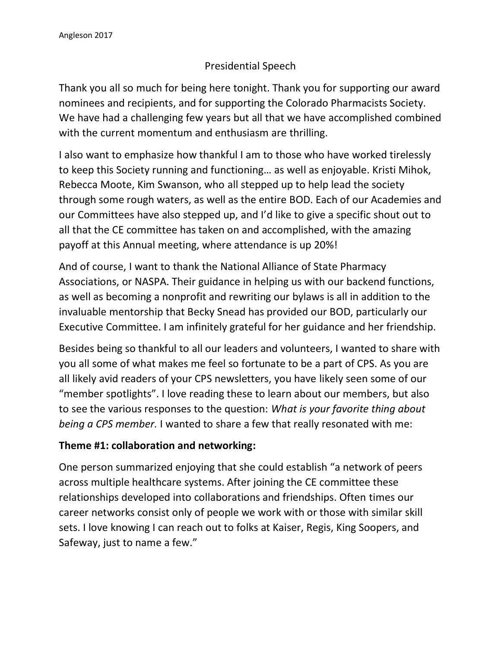## Presidential Speech

Thank you all so much for being here tonight. Thank you for supporting our award nominees and recipients, and for supporting the Colorado Pharmacists Society. We have had a challenging few years but all that we have accomplished combined with the current momentum and enthusiasm are thrilling.

I also want to emphasize how thankful I am to those who have worked tirelessly to keep this Society running and functioning… as well as enjoyable. Kristi Mihok, Rebecca Moote, Kim Swanson, who all stepped up to help lead the society through some rough waters, as well as the entire BOD. Each of our Academies and our Committees have also stepped up, and I'd like to give a specific shout out to all that the CE committee has taken on and accomplished, with the amazing payoff at this Annual meeting, where attendance is up 20%!

And of course, I want to thank the National Alliance of State Pharmacy Associations, or NASPA. Their guidance in helping us with our backend functions, as well as becoming a nonprofit and rewriting our bylaws is all in addition to the invaluable mentorship that Becky Snead has provided our BOD, particularly our Executive Committee. I am infinitely grateful for her guidance and her friendship.

Besides being so thankful to all our leaders and volunteers, I wanted to share with you all some of what makes me feel so fortunate to be a part of CPS. As you are all likely avid readers of your CPS newsletters, you have likely seen some of our "member spotlights". I love reading these to learn about our members, but also to see the various responses to the question: *What is your favorite thing about being a CPS member.* I wanted to share a few that really resonated with me:

## **Theme #1: collaboration and networking:**

One person summarized enjoying that she could establish "a network of peers across multiple healthcare systems. After joining the CE committee these relationships developed into collaborations and friendships. Often times our career networks consist only of people we work with or those with similar skill sets. I love knowing I can reach out to folks at Kaiser, Regis, King Soopers, and Safeway, just to name a few."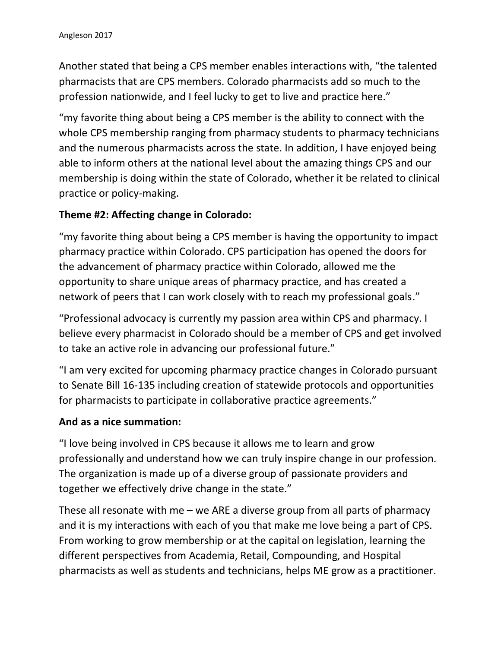Another stated that being a CPS member enables interactions with, "the talented pharmacists that are CPS members. Colorado pharmacists add so much to the profession nationwide, and I feel lucky to get to live and practice here."

"my favorite thing about being a CPS member is the ability to connect with the whole CPS membership ranging from pharmacy students to pharmacy technicians and the numerous pharmacists across the state. In addition, I have enjoyed being able to inform others at the national level about the amazing things CPS and our membership is doing within the state of Colorado, whether it be related to clinical practice or policy-making.

### **Theme #2: Affecting change in Colorado:**

"my favorite thing about being a CPS member is having the opportunity to impact pharmacy practice within Colorado. CPS participation has opened the doors for the advancement of pharmacy practice within Colorado, allowed me the opportunity to share unique areas of pharmacy practice, and has created a network of peers that I can work closely with to reach my professional goals."

"Professional advocacy is currently my passion area within CPS and pharmacy. I believe every pharmacist in Colorado should be a member of CPS and get involved to take an active role in advancing our professional future."

"I am very excited for upcoming pharmacy practice changes in Colorado pursuant to Senate Bill 16-135 including creation of statewide protocols and opportunities for pharmacists to participate in collaborative practice agreements."

#### **And as a nice summation:**

"I love being involved in CPS because it allows me to learn and grow professionally and understand how we can truly inspire change in our profession. The organization is made up of a diverse group of passionate providers and together we effectively drive change in the state."

These all resonate with me – we ARE a diverse group from all parts of pharmacy and it is my interactions with each of you that make me love being a part of CPS. From working to grow membership or at the capital on legislation, learning the different perspectives from Academia, Retail, Compounding, and Hospital pharmacists as well as students and technicians, helps ME grow as a practitioner.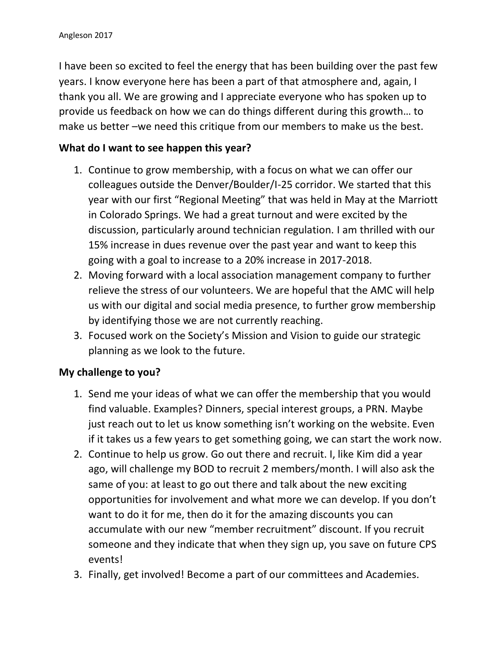I have been so excited to feel the energy that has been building over the past few years. I know everyone here has been a part of that atmosphere and, again, I thank you all. We are growing and I appreciate everyone who has spoken up to provide us feedback on how we can do things different during this growth… to make us better –we need this critique from our members to make us the best.

# **What do I want to see happen this year?**

- 1. Continue to grow membership, with a focus on what we can offer our colleagues outside the Denver/Boulder/I-25 corridor. We started that this year with our first "Regional Meeting" that was held in May at the Marriott in Colorado Springs. We had a great turnout and were excited by the discussion, particularly around technician regulation. I am thrilled with our 15% increase in dues revenue over the past year and want to keep this going with a goal to increase to a 20% increase in 2017-2018.
- 2. Moving forward with a local association management company to further relieve the stress of our volunteers. We are hopeful that the AMC will help us with our digital and social media presence, to further grow membership by identifying those we are not currently reaching.
- 3. Focused work on the Society's Mission and Vision to guide our strategic planning as we look to the future.

## **My challenge to you?**

- 1. Send me your ideas of what we can offer the membership that you would find valuable. Examples? Dinners, special interest groups, a PRN. Maybe just reach out to let us know something isn't working on the website. Even if it takes us a few years to get something going, we can start the work now.
- 2. Continue to help us grow. Go out there and recruit. I, like Kim did a year ago, will challenge my BOD to recruit 2 members/month. I will also ask the same of you: at least to go out there and talk about the new exciting opportunities for involvement and what more we can develop. If you don't want to do it for me, then do it for the amazing discounts you can accumulate with our new "member recruitment" discount. If you recruit someone and they indicate that when they sign up, you save on future CPS events!
- 3. Finally, get involved! Become a part of our committees and Academies.